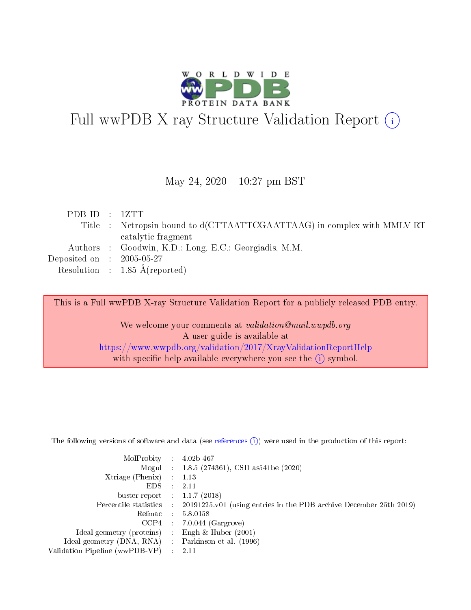

# Full wwPDB X-ray Structure Validation Report (i)

#### May 24,  $2020 - 10:27$  pm BST

| PDBID : 1ZTT                  |                                                                        |
|-------------------------------|------------------------------------------------------------------------|
|                               | Title : Netropsin bound to d(CTTAATTCGAATTAAG) in complex with MMLV RT |
|                               | catalytic fragment                                                     |
|                               | Authors : Goodwin, K.D.; Long, E.C.; Georgiadis, M.M.                  |
| $Deposited on$ : $2005-05-27$ |                                                                        |
|                               | Resolution : $1.85 \text{ Å}$ (reported)                               |

This is a Full wwPDB X-ray Structure Validation Report for a publicly released PDB entry.

We welcome your comments at validation@mail.wwpdb.org A user guide is available at <https://www.wwpdb.org/validation/2017/XrayValidationReportHelp> with specific help available everywhere you see the  $(i)$  symbol.

The following versions of software and data (see [references](https://www.wwpdb.org/validation/2017/XrayValidationReportHelp#references)  $(1)$ ) were used in the production of this report:

| MolProbity                     | $\mathcal{L}_{\rm{max}}$ | $4.02b - 467$                                                                |
|--------------------------------|--------------------------|------------------------------------------------------------------------------|
|                                |                          | Mogul : $1.8.5$ (274361), CSD as 541be (2020)                                |
| $X$ triage (Phenix) :          |                          | 1.13                                                                         |
| EDS.                           |                          | 2.11                                                                         |
| buster-report : $1.1.7$ (2018) |                          |                                                                              |
| Percentile statistics :        |                          | $20191225 \text{ v}01$ (using entries in the PDB archive December 25th 2019) |
| Refmac                         |                          | 5.8.0158                                                                     |
| $CCP4$ :                       |                          | $7.0.044$ (Gargrove)                                                         |
| Ideal geometry (proteins) :    |                          | Engh $\&$ Huber (2001)                                                       |
| Ideal geometry (DNA, RNA) :    |                          | Parkinson et al. (1996)                                                      |
| Validation Pipeline (wwPDB-VP) | $\mathcal{L}$            | -2.11                                                                        |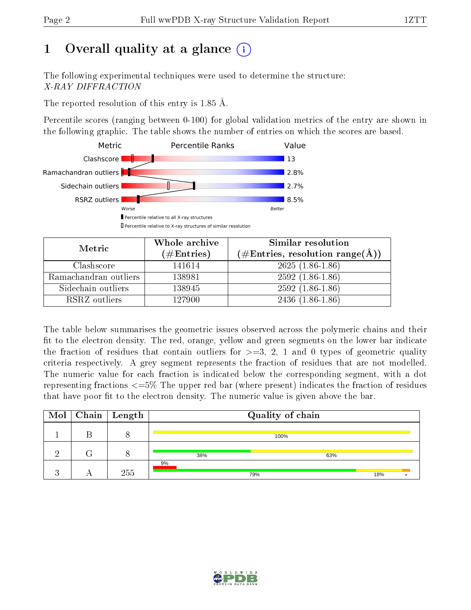## 1 [O](https://www.wwpdb.org/validation/2017/XrayValidationReportHelp#overall_quality)verall quality at a glance  $(i)$

The following experimental techniques were used to determine the structure: X-RAY DIFFRACTION

The reported resolution of this entry is 1.85 Å.

Percentile scores (ranging between 0-100) for global validation metrics of the entry are shown in the following graphic. The table shows the number of entries on which the scores are based.



| Metric                | Whole archive<br>$(\#\text{Entries})$ | Similar resolution<br>$(\#\text{Entries}, \text{resolution range}(\text{\AA}))$ |
|-----------------------|---------------------------------------|---------------------------------------------------------------------------------|
| Clashscore            | 141614                                | $2625(1.86-1.86)$                                                               |
| Ramachandran outliers | 138981                                | $2592(1.86-1.86)$                                                               |
| Sidechain outliers    | 138945                                | $2592(1.86-1.86)$                                                               |
| RSRZ outliers         | 127900                                | $2436(1.86-1.86)$                                                               |

The table below summarises the geometric issues observed across the polymeric chains and their fit to the electron density. The red, orange, yellow and green segments on the lower bar indicate the fraction of residues that contain outliers for  $\geq=3$ , 2, 1 and 0 types of geometric quality criteria respectively. A grey segment represents the fraction of residues that are not modelled. The numeric value for each fraction is indicated below the corresponding segment, with a dot representing fractions  $\epsilon = 5\%$  The upper red bar (where present) indicates the fraction of residues that have poor fit to the electron density. The numeric value is given above the bar.

|          | $\boxed{\text{Mol}}$ Chain   Length |     | Quality of chain |     |     |  |
|----------|-------------------------------------|-----|------------------|-----|-----|--|
|          |                                     |     | 100%             |     |     |  |
| $\Omega$ |                                     | 38% |                  | 63% |     |  |
|          | 255                                 | 9%  | 79%              |     | 18% |  |

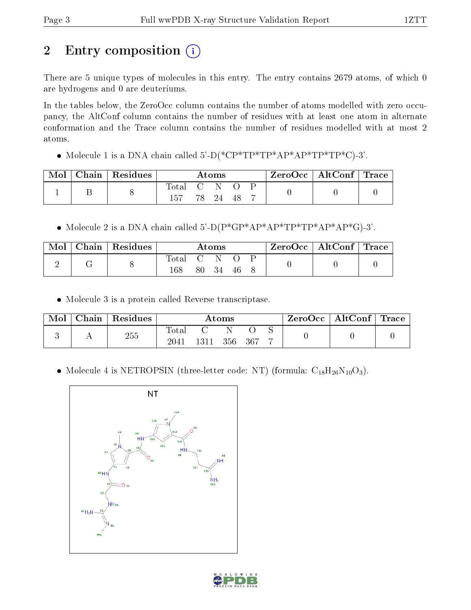# 2 Entry composition (i)

There are 5 unique types of molecules in this entry. The entry contains 2679 atoms, of which 0 are hydrogens and 0 are deuteriums.

In the tables below, the ZeroOcc column contains the number of atoms modelled with zero occupancy, the AltConf column contains the number of residues with at least one atom in alternate conformation and the Trace column contains the number of residues modelled with at most 2 atoms.

Molecule 1 is a DNA chain called 5'-D(\*CP\*TP\*TP\*AP\*AP\*TP\*TP\*C)-3'.

| Mol | $Chain   Residues$ |       | $\rm{Atoms}$ |    |  | $ZeroOcc \mid AltConf \mid Trace$ |  |
|-----|--------------------|-------|--------------|----|--|-----------------------------------|--|
|     |                    | Total | 78 24        | 48 |  |                                   |  |

Molecule 2 is a DNA chain called 5'-D(P\*GP\*AP\*AP\*TP\*TP\*AP\*AP\*G)-3'.

| Mol | $\mid$ Chain $\mid$ Residues |                  | Atoms |     | $\text{ZeroOcc} \mid \text{AltConf} \mid \text{Trace}$ |  |
|-----|------------------------------|------------------|-------|-----|--------------------------------------------------------|--|
| ↵   |                              | Total C N<br>168 | 80 34 | -46 |                                                        |  |

Molecule 3 is a protein called Reverse transcriptase.

| Mol | Chain   Residues |                         |      | $\rm{Atoms}$ |  | . ZeroOcc∣ | $\mid$ AltConf $\mid$ Trace $\mid$ |  |
|-----|------------------|-------------------------|------|--------------|--|------------|------------------------------------|--|
|     | 255              | $\rm Total$<br>$2041\,$ | 1311 | 356 367      |  |            |                                    |  |

• Molecule 4 is NETROPSIN (three-letter code: NT) (formula:  $C_{18}H_{26}N_{10}O_3$ ).



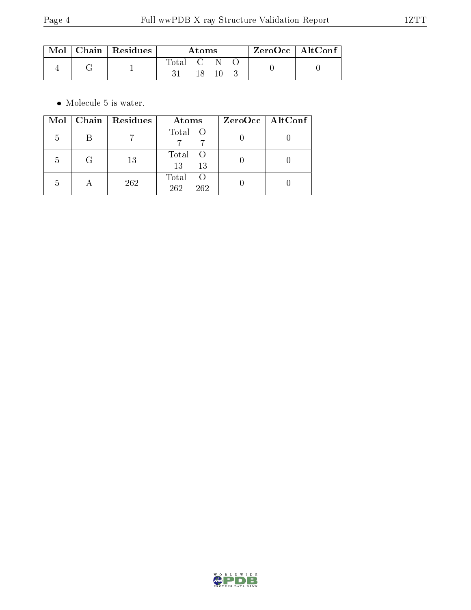| $\blacksquare$ Mol $\blacksquare$ | $\mid$ Chain $\mid$ Residues |           | Atoms |  | ZeroOcc   AltConf |  |
|-----------------------------------|------------------------------|-----------|-------|--|-------------------|--|
|                                   |                              | Total C N |       |  |                   |  |
|                                   |                              |           |       |  |                   |  |

 $\bullet\,$  Molecule 5 is water.

| Mol |   | Chain   Residues | Atoms                                   | ZeroOcc   AltConf |
|-----|---|------------------|-----------------------------------------|-------------------|
| 5   |   |                  | Total O                                 |                   |
| 5   | G | 13               | Total<br>13<br>13                       |                   |
|     |   | 262              | Total<br>$\left( \right)$<br>262<br>262 |                   |

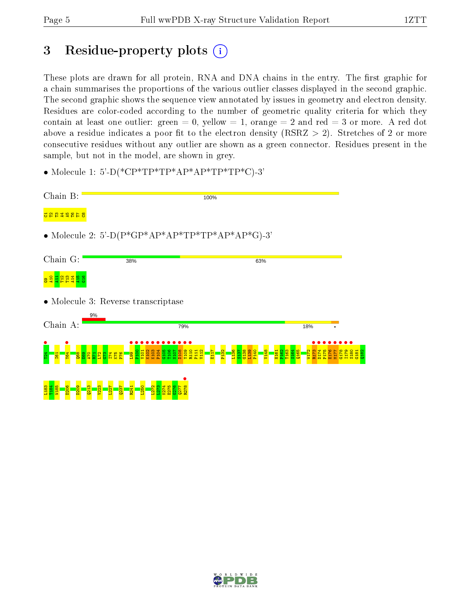$\frac{182}{2}$ 

## 3 Residue-property plots  $(i)$

These plots are drawn for all protein, RNA and DNA chains in the entry. The first graphic for a chain summarises the proportions of the various outlier classes displayed in the second graphic. The second graphic shows the sequence view annotated by issues in geometry and electron density. Residues are color-coded according to the number of geometric quality criteria for which they contain at least one outlier: green  $= 0$ , yellow  $= 1$ , orange  $= 2$  and red  $= 3$  or more. A red dot above a residue indicates a poor fit to the electron density (RSRZ  $> 2$ ). Stretches of 2 or more consecutive residues without any outlier are shown as a green connector. Residues present in the sample, but not in the model, are shown in grey.

• Molecule 1: 5'-D(\*CP\*TP\*TP\*AP\*AP\*TP\*TP\*C)-3'

| Chain B:                       | 100%                                                                                                                                                                                                                               |               |
|--------------------------------|------------------------------------------------------------------------------------------------------------------------------------------------------------------------------------------------------------------------------------|---------------|
| 8 4 8 2 3 4 5 6                |                                                                                                                                                                                                                                    |               |
|                                | • Molecule 2: 5'-D( $P*GP*AP*AP*TP*TP*AP*AP*AP*G$ )-3'                                                                                                                                                                             |               |
| Chain G:                       | 38%<br>63%                                                                                                                                                                                                                         |               |
| <mark>e a d d d d d a</mark> s |                                                                                                                                                                                                                                    |               |
|                                | • Molecule 3: Reverse transcriptase                                                                                                                                                                                                |               |
| Chain A:                       | 9%<br>79%                                                                                                                                                                                                                          | 18%           |
| $\overline{6}$                 | <b>P104</b><br>C105<br>T107<br>N107<br>K <sub>103</sub><br>$\frac{109}{20}$<br>111<br>$\overline{101}$<br><mark>ာရွှိ</mark> ခို့<br>큨<br>$\frac{3}{5}$<br><mark>ទទួនដីដីដីដីន</mark> ីទី <mark>ខ្ល</mark> ីឡី<br>g<br>g<br>S<br>¢ | 165<br>6<br>c |
| 206<br><b>D209</b><br>183      | L <sub>272</sub><br>K274<br>$\mathbf{N}$<br>Q23                                                                                                                                                                                    |               |

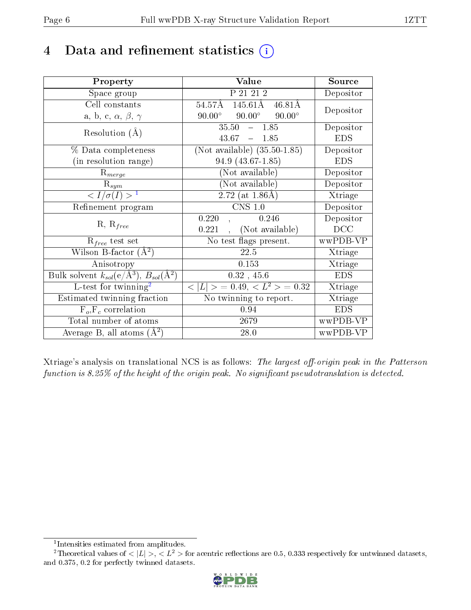## 4 Data and refinement statistics  $(i)$

| Property                                                         | Value                                               | Source     |
|------------------------------------------------------------------|-----------------------------------------------------|------------|
| Space group                                                      | P 21 21 2                                           | Depositor  |
| Cell constants                                                   | 145.61Å 46.81Å<br>54.57Å                            | Depositor  |
| a, b, c, $\alpha$ , $\beta$ , $\gamma$                           | $90.00^\circ$<br>$90.00^{\circ}$<br>$90.00^{\circ}$ |            |
| Resolution $(A)$                                                 | $35.50 - 1.85$                                      | Depositor  |
|                                                                  | $43.67 - 1.85$                                      | <b>EDS</b> |
| % Data completeness                                              | (Not available) $(35.50-1.85)$                      | Depositor  |
| (in resolution range)                                            | 94.9 (43.67-1.85)                                   | <b>EDS</b> |
| $R_{merge}$                                                      | (Not available)                                     | Depositor  |
| $\mathrm{R}_{sym}$                                               | (Not available)                                     | Depositor  |
| $\langle I/\sigma(I) \rangle^{-1}$                               | 2.72 (at $1.86\text{\AA}$ )                         | Xtriage    |
| Refinement program                                               | $CNS$ 1.0                                           | Depositor  |
| $R, R_{free}$                                                    | 0.246<br>0.220                                      | Depositor  |
|                                                                  | (Not available)<br>0.221                            | DCC        |
| $R_{free}$ test set                                              | No test flags present.                              | wwPDB-VP   |
| Wilson B-factor $(A^2)$                                          | 22.5                                                | Xtriage    |
| Anisotropy                                                       | 0.153                                               | Xtriage    |
| Bulk solvent $k_{sol}(\text{e}/\text{A}^3), B_{sol}(\text{A}^2)$ | $0.32$ , $45.6\,$                                   | <b>EDS</b> |
| L-test for twinning <sup>2</sup>                                 | $< L >$ = 0.49, $< L2$ > = 0.32                     | Xtriage    |
| Estimated twinning fraction                                      | No twinning to report.                              | Xtriage    |
| $F_o, F_c$ correlation                                           | 0.94                                                | <b>EDS</b> |
| Total number of atoms                                            | 2679                                                | wwPDB-VP   |
| Average B, all atoms $(A^2)$                                     | 28.0                                                | wwPDB-VP   |

Xtriage's analysis on translational NCS is as follows: The largest off-origin peak in the Patterson function is  $8.25\%$  of the height of the origin peak. No significant pseudotranslation is detected.

<sup>&</sup>lt;sup>2</sup>Theoretical values of  $\langle |L| \rangle$ ,  $\langle L^2 \rangle$  for acentric reflections are 0.5, 0.333 respectively for untwinned datasets, and 0.375, 0.2 for perfectly twinned datasets.



<span id="page-5-1"></span><span id="page-5-0"></span><sup>1</sup> Intensities estimated from amplitudes.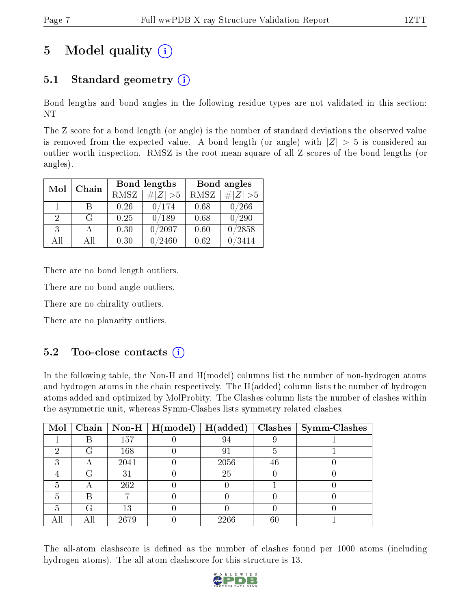## 5 Model quality  $(i)$

## 5.1 Standard geometry  $(i)$

Bond lengths and bond angles in the following residue types are not validated in this section: NT

The Z score for a bond length (or angle) is the number of standard deviations the observed value is removed from the expected value. A bond length (or angle) with  $|Z| > 5$  is considered an outlier worth inspection. RMSZ is the root-mean-square of all Z scores of the bond lengths (or angles).

| Mol | Chain |                            | Bond lengths    | Bond angles |                 |  |
|-----|-------|----------------------------|-----------------|-------------|-----------------|--|
|     |       | <b>RMSZ</b><br>$\# Z  > 5$ |                 | <b>RMSZ</b> | $\# Z  > 5$     |  |
| 1   | R     | 0.26                       | 0/174           | 0.68        | 0/266           |  |
| 2   | G     | 0.25                       | 0/189           | 0.68        | 0/290           |  |
| 3   |       | 0.30                       | 0/2097          | 0.60        | /2858           |  |
| AII | A 11  | 0.30                       | $^{\prime}2460$ | 0.62        | $^{\prime}3414$ |  |

There are no bond length outliers.

There are no bond angle outliers.

There are no chirality outliers.

There are no planarity outliers.

#### $5.2$  Too-close contacts  $(i)$

In the following table, the Non-H and H(model) columns list the number of non-hydrogen atoms and hydrogen atoms in the chain respectively. The H(added) column lists the number of hydrogen atoms added and optimized by MolProbity. The Clashes column lists the number of clashes within the asymmetric unit, whereas Symm-Clashes lists symmetry related clashes.

| Mol |   |      | $\mid$ Chain $\mid$ Non-H $\mid$ H(model) $\mid$ | $\mid$ H(added) |        | Clashes   Symm-Clashes |
|-----|---|------|--------------------------------------------------|-----------------|--------|------------------------|
|     |   | 157  |                                                  |                 |        |                        |
| 6)  | G | 168  |                                                  |                 |        |                        |
| ົ   | Α | 2041 |                                                  | 2056            | 46     |                        |
|     | G | 31   |                                                  | 25              |        |                        |
|     |   | 262  |                                                  |                 |        |                        |
|     |   |      |                                                  |                 |        |                        |
| h   | G | 13   |                                                  |                 |        |                        |
|     |   | 2679 |                                                  | 2266            | $60\,$ |                        |

The all-atom clashscore is defined as the number of clashes found per 1000 atoms (including hydrogen atoms). The all-atom clashscore for this structure is 13.

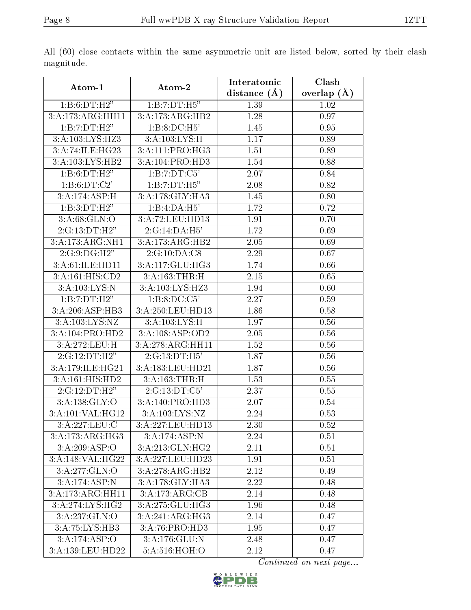|                                      |                              | Interatomic      | Clash         |  |  |
|--------------------------------------|------------------------------|------------------|---------------|--|--|
| Atom-1                               | Atom-2                       | distance $(\AA)$ | overlap $(A)$ |  |  |
| 1:B:6:DT:H2"                         | 1:B:7:DT:H5"                 | 1.39             | 1.02          |  |  |
| 3:A:173:ARG:HH11                     | 3:A:173:ARG:HB2              | $1.28\,$         | 0.97          |  |  |
| 1:B:7:DT:H2"                         | 1:B:8:DC:H5'                 | 1.45             | 0.95          |  |  |
| 3:A:103:LYS:HZ3                      | 3:A:103:LYS:H                | 1.17             | 0.89          |  |  |
| 3:A:74:ILE:HG23                      | 3:A:111:PRO:HG3              | 1.51             | 0.89          |  |  |
| 3:A:103:LYS:HB2                      | 3:A:104:PRO:HD3              | 1.54             | 0.88          |  |  |
| 1:B:6:DT:H2"                         | 1:B:7:DT:C5'                 | 2.07             | 0.84          |  |  |
| 1: B: 6: DT: C2'                     | 1:B:7:DT:H5"                 | 2.08             | 0.82          |  |  |
| 3:A:174:ASP:H                        | 3:A:178:GLY:HA3              | 1.45             | 0.80          |  |  |
| 1:B:3:DT:H2"                         | 1:B:4:DA:H5'                 | 1.72             | 0.72          |  |  |
| 3: A:68: GLN:O                       | 3:A:72:LEU:HD13              | 1.91             | 0.70          |  |  |
| 2:G:13:DT:H2"                        | 2:G:14:DA:H5'                | 1.72             | 0.69          |  |  |
| 3:A:173:ARG:NH1                      | 3:A:173:ARG:HB2              | 2.05             | 0.69          |  |  |
| 2:G:9:DG:H2"                         | 2:G:10:DA:CS                 | 2.29             | 0.67          |  |  |
| 3:A:61:ILE:HD11                      | 3:A:117:GLU:HG3              | 1.74             | 0.66          |  |  |
| 3:A:161:HIS:CD2                      | 3:A:163:THR:H                | 2.15             | 0.65          |  |  |
| 3:A:103:LYS:N                        | 3:A:103:LYS:HZ3              | 1.94             | 0.60          |  |  |
| 1:B:7:DT:H2"                         | 1:B:8:DC:C5'                 | 2.27             | 0.59          |  |  |
| 3:A:206:ASP:HB3                      | 3:A:250:LEU:HD13             | 1.86             | 0.58          |  |  |
| 3:A:103:LYS:NZ                       | 3:A:103:LYS:H                | 1.97             | 0.56          |  |  |
| $3:A:104: \overline{\text{PRO:HD2}}$ | 3:A:108:ASP:OD2              | 2.05             | 0.56          |  |  |
| 3:A:272:LEU:H                        | 3:A:278:ARG:HH11             | 1.52             | 0.56          |  |  |
| 2:G:12:DT:H2"                        | 2:G:13:DT:H5'                | 1.87             | 0.56          |  |  |
| 3:A:179:ILE:HG21                     | 3:A:183:LEU:HD21             | 1.87             | 0.56          |  |  |
| 3:A:161:HIS:HD2                      | 3:A:163:THR:H                | 1.53             | 0.55          |  |  |
| 2:G:12:DT:H2"                        | 2:G:13:DT:C5'                | 2.37             | 0.55          |  |  |
| 3:A:138:GLY:O                        | 3:A:140:PRO:HD3              | 2.07             | 0.54          |  |  |
| 3:A:101:VAL:HG12                     | 3: A: 103: LYS: NZ           | 2.24             | 0.53          |  |  |
| 3:A:227:LEU:C                        | 3:A:227:LEU:HD13             | 2.30             | 0.52          |  |  |
| 3:A:173:ARG:HG3                      | 3:A:174:ASP:N                | 2.24             | 0.51          |  |  |
| 3:A:209:ASP:O                        | 3:A:213:GLN:HG2              | 2.11             | 0.51          |  |  |
| 3:A:148:VAL:HG22                     | 3:A:227:LEU:HD23             | 1.91             | 0.51          |  |  |
| 3:A:277:GLN:O                        | $3:A:278:ARG:\overline{HB2}$ | 2.12             | 0.49          |  |  |
| 3:A:174:ASP:N                        | 3:A:178:GLY:HA3              | 2.22             | 0.48          |  |  |
| 3:A:173:ARG:HH11                     | 3:A:173:ARG:CB               | 2.14             | 0.48          |  |  |
| 3: A:274: LYS: HG2                   | 3:A:275:GLU:HG3              | 1.96             | 0.48          |  |  |
| 3:A:237:GLN:O                        | 3:A:241:ARG:HG3              | 2.14             | 0.47          |  |  |
| $3:A:75:LY\overline{S:HB3}$          | 3:A:76:PRO:HD3               | 1.95             | 0.47          |  |  |
| 3:A:174:ASP:O                        | 3:A:176:GLU:N                | 2.48             | 0.47          |  |  |
| 3:A:139:LEU:HD22                     | 5:A:516:HOH:O                | 2.12             | 0.47          |  |  |

All (60) close contacts within the same asymmetric unit are listed below, sorted by their clash magnitude.

Continued on next page...

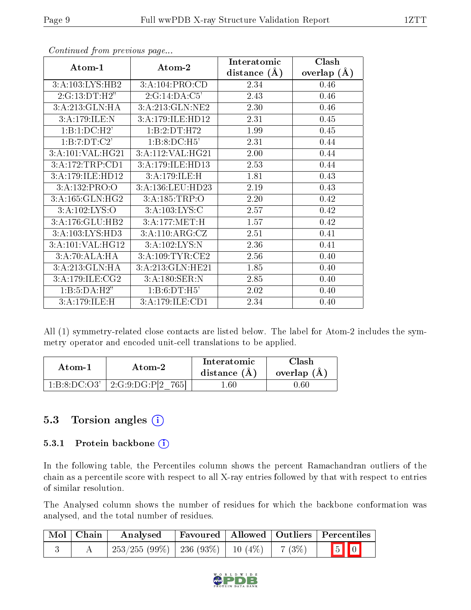| Atom-1                      | Atom-2                      | Interatomic      | Clash         |
|-----------------------------|-----------------------------|------------------|---------------|
|                             |                             | distance $(\AA)$ | overlap $(A)$ |
| 3:A:103:LYS:HB2             | 3:A:104:PRO:CD              | 2.34             | 0.46          |
| 2:G:13:DT:H2"               | 2:G:14:DA:C5'               | 2.43             | 0.46          |
| 3:A:213:GLN:HA              | 3:A:213:GLN:NE2             | 2.30             | 0.46          |
| 3:A:179:ILE:N               | 3:A:179:ILE:HD12            | 2.31             | 0.45          |
| 1:B:1:DC:H2'                | 1:B:2:DT:H72                | 1.99             | 0.45          |
| 1:B:7:DT:C2'                | 1:B:8:DC:H5'                | 2.31             | 0.44          |
| 3:A:101:VAL:HG21            | 3:A:112:VAL:HG21            | 2.00             | 0.44          |
| 3:A:172:TRP:CD1             | 3:A:179:ILE:HD13            | 2.53             | 0.44          |
| 3:A:179:ILE:HD12            | 3:A:179:ILE:H               | 1.81             | 0.43          |
| 3:A:132:PRO:O               | 3:A:136:LEU:HD23            | 2.19             | 0.43          |
| 3:A:165:GLN:HG2             | 3: A: 185: TRP:O            | 2.20             | 0.42          |
| 3:A:102:LYS:O               | 3:A:103:LYS:C               | 2.57             | 0.42          |
| 3:A:176:GLU:HB2             | 3:A:177:MET:H               | $1.57\,$         | 0.42          |
| 3:A:103:LYS:H <sub>D3</sub> | $3:A:110:ARG:\overline{CZ}$ | 2.51             | 0.41          |
| 3:A:101:VAL:HG12            | 3:A:102:LYS:N               | 2.36             | 0.41          |
| 3:A:70:ALA:HA               | 3:A:109:TYR:CE2             | 2.56             | 0.40          |
| 3:A:213:GLN:HA              | 3:A:213:GLN:HE21            | 1.85             | 0.40          |
| 3:A:179:ILE:CG2             | 3:A:180:SER:N               | 2.85             | 0.40          |
| 1:B:5:DA:H2"                | 1:B:6:DT:H5'                | 2.02             | 0.40          |
| 3:A:179:ILE:H               | 3:A:179:ILE:CD1             | 2.34             | 0.40          |

Continued from previous page...

All (1) symmetry-related close contacts are listed below. The label for Atom-2 includes the symmetry operator and encoded unit-cell translations to be applied.

| Atom-1       | Atom-2                  | Interatomic<br>distance $(A)$ | <b>Clash</b><br>overlap $(A)$ |  |
|--------------|-------------------------|-------------------------------|-------------------------------|--|
| 1:B:8:DC:O3' | $2:G:9:DG:P[2]$<br>765I | $.60\,$                       | .60                           |  |

### 5.3 Torsion angles (i)

#### 5.3.1 Protein backbone (i)

In the following table, the Percentiles column shows the percent Ramachandran outliers of the chain as a percentile score with respect to all X-ray entries followed by that with respect to entries of similar resolution.

The Analysed column shows the number of residues for which the backbone conformation was analysed, and the total number of residues.

| Mol   Chain | Analysed                                           |  | Favoured   Allowed   Outliers   Percentiles |  |
|-------------|----------------------------------------------------|--|---------------------------------------------|--|
|             | $253/255 (99\%)$   236 (93\%)   10 (4\%)   7 (3\%) |  | $\boxed{5}$ 0                               |  |

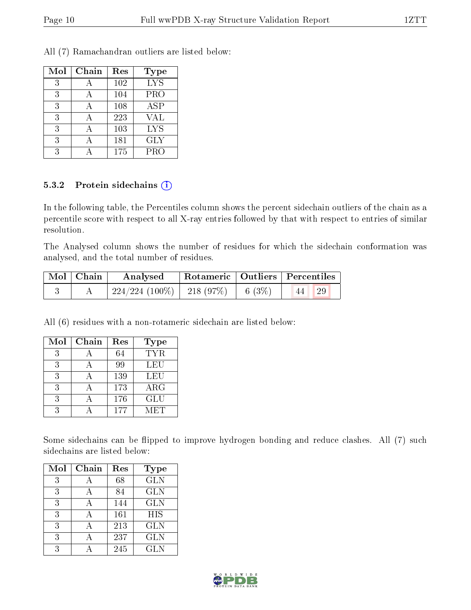All (7) Ramachandran outliers are listed below:

| Mol | Chain | Res | Type       |
|-----|-------|-----|------------|
| 3   |       | 102 | <b>LYS</b> |
| 3   |       | 104 | PRO        |
| 3   |       | 108 | ASP        |
| 3   |       | 223 | VAL        |
| 3   |       | 103 | <b>LYS</b> |
| 3   |       | 181 | <b>GLY</b> |
| 3   |       | 175 | <b>PRO</b> |

#### 5.3.2 Protein sidechains  $(i)$

In the following table, the Percentiles column shows the percent sidechain outliers of the chain as a percentile score with respect to all X-ray entries followed by that with respect to entries of similar resolution.

The Analysed column shows the number of residues for which the sidechain conformation was analysed, and the total number of residues.

| $Mol$   Chain | Analysed                       |          | Rotameric   Outliers   Percentiles |  |
|---------------|--------------------------------|----------|------------------------------------|--|
|               | $224/224$ (100\%)   218 (97\%) | 6 $(3%)$ | 29                                 |  |

All (6) residues with a non-rotameric sidechain are listed below:

| Mol | Chain | Res | Type       |
|-----|-------|-----|------------|
| 3   |       | 64  | <b>TYR</b> |
| 3   |       | 99  | LEU        |
| 3   |       | 139 | LEU        |
| 3   |       | 173 | $\rm{ARG}$ |
| 3   |       | 176 | <b>GLU</b> |
|     |       | 177 | MET        |

Some sidechains can be flipped to improve hydrogen bonding and reduce clashes. All (7) such sidechains are listed below:

| Mol | Chain        | Res | <b>Type</b> |
|-----|--------------|-----|-------------|
| 3   |              | 68  | <b>GLN</b>  |
| 3   |              | 84  | <b>GLN</b>  |
| 3   |              | 144 | <b>GLN</b>  |
| 3   | $\mathsf{A}$ | 161 | <b>HIS</b>  |
| 3   |              | 213 | <b>GLN</b>  |
| 3   |              | 237 | <b>GLN</b>  |
| २   |              | 245 | GL N        |

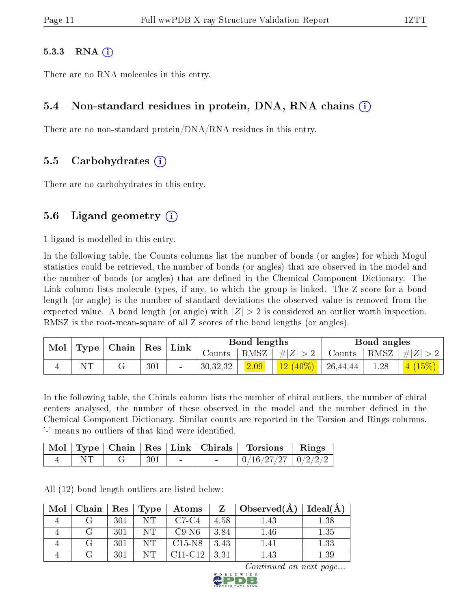#### $5.3.3$  RNA  $(i)$

There are no RNA molecules in this entry.

#### 5.4 Non-standard residues in protein, DNA, RNA chains (i)

There are no non-standard protein/DNA/RNA residues in this entry.

#### 5.5 Carbohydrates (i)

There are no carbohydrates in this entry.

#### 5.6 Ligand geometry  $(i)$

1 ligand is modelled in this entry.

In the following table, the Counts columns list the number of bonds (or angles) for which Mogul statistics could be retrieved, the number of bonds (or angles) that are observed in the model and the number of bonds (or angles) that are defined in the Chemical Component Dictionary. The Link column lists molecule types, if any, to which the group is linked. The Z score for a bond length (or angle) is the number of standard deviations the observed value is removed from the expected value. A bond length (or angle) with  $|Z| > 2$  is considered an outlier worth inspection. RMSZ is the root-mean-square of all Z scores of the bond lengths (or angles).

| Mol | $Type   Chain  $ |                  | Link                     |          | Bond lengths |                      |          | Bond angles |                                     |  |
|-----|------------------|------------------|--------------------------|----------|--------------|----------------------|----------|-------------|-------------------------------------|--|
|     |                  | $^{\dagger}$ Res |                          | Counts-  |              | $ RMSZ $ # $ Z  > 2$ | Counts   | RMSZ        | $ #Z  > 2$                          |  |
|     |                  | 301              | $\overline{\phantom{a}}$ | 30,32,32 | 2.09         | $12(40\%)$           | 26,44,44 | 1.28        | $\mid$ 4 $\left(15\%\right)$ $\mid$ |  |

In the following table, the Chirals column lists the number of chiral outliers, the number of chiral centers analysed, the number of these observed in the model and the number defined in the Chemical Component Dictionary. Similar counts are reported in the Torsion and Rings columns. '-' means no outliers of that kind were identified.

|  |  |        | Mol   Type   Chain   Res   Link   Chirals   Torsions | Rings |
|--|--|--------|------------------------------------------------------|-------|
|  |  | $\sim$ | $\mid 0/16/27/27 \mid 0/2/2/2$                       |       |

All (12) bond length outliers are listed below:

| Mol | Chain | ${\rm Res}$ | Type | Atoms     | Z.   | $\Box$ Observed(A) | Ideal(A) |
|-----|-------|-------------|------|-----------|------|--------------------|----------|
|     |       | 301         | NT   | $C7-C4$   | 4.58 | $1.43\,$           | 1.38     |
|     |       | 301         | NТ   | C9-N6     | 3.84 | 1.46               | 1.35     |
|     |       | 301         | NТ   | $C15-N8$  | 3.43 | 1.41               | 1.33     |
|     |       | 301         | NТ   | $C11-C12$ | 3.31 | .43                | $1.39\,$ |

Continued on next page...

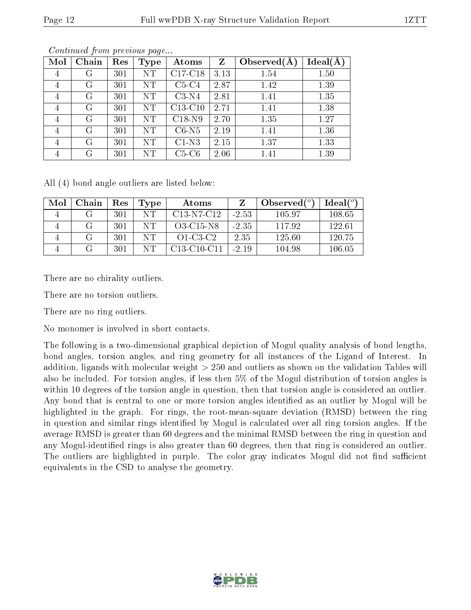| Mol | Chain | Res | Type      | Atoms     | Z    | Observed $(A$ | $Ideal(\AA)$ |
|-----|-------|-----|-----------|-----------|------|---------------|--------------|
| 4   | G     | 301 | NT        | $C17-C18$ | 3.13 | 1.54          | 1.50         |
| 4   | G     | 301 | <b>NT</b> | $C5-C4$   | 2.87 | 1.42          | 1.39         |
| 4   | G     | 301 | NT        | $C3-N4$   | 2.81 | 1.41          | 1.35         |
| 4   | G     | 301 | NT        | $C13-C10$ | 2.71 | 1.41          | 1.38         |
| 4   | G     | 301 | NT        | $C18-N9$  | 2.70 | 1.35          | 1.27         |
| 4   | G     | 301 | NT        | $C6-N5$   | 2.19 | 1.41          | 1.36         |
| 4   | G     | 301 | NT        | $C1-N3$   | 2.15 | 1.37          | 1.33         |
| 4   | G     | 301 | NT        | $C5-C6$   | 2.06 | 1.41          | 1.39         |

Continued from previous page...

All (4) bond angle outliers are listed below:

| Mol | Chain | $\operatorname{Res}% \left( \mathcal{N}\right) \equiv\operatorname{Res}(\mathcal{N}_{0})\cap\mathcal{N}_{1}$ | Type | Atoms         |         | Observed $(^\circ)$ | $Ideal(^o)$ |
|-----|-------|--------------------------------------------------------------------------------------------------------------|------|---------------|---------|---------------------|-------------|
|     |       | 301                                                                                                          | NT.  | $C13-N7-C12$  | $-2.53$ | 105.97              | 108.65      |
|     |       | 301                                                                                                          | NT.  | O3-C15-N8     | $-2.35$ | 117.92              | 122.61      |
|     |       | 301                                                                                                          | NТ   | $O1-C3-C2$    | 2.35    | 125.60              | 120.75      |
|     |       | 301                                                                                                          | NT   | $C13-C10-C11$ | $-2.19$ | 104.98              | 106.05      |

There are no chirality outliers.

There are no torsion outliers.

There are no ring outliers.

No monomer is involved in short contacts.

The following is a two-dimensional graphical depiction of Mogul quality analysis of bond lengths, bond angles, torsion angles, and ring geometry for all instances of the Ligand of Interest. In addition, ligands with molecular weight > 250 and outliers as shown on the validation Tables will also be included. For torsion angles, if less then 5% of the Mogul distribution of torsion angles is within 10 degrees of the torsion angle in question, then that torsion angle is considered an outlier. Any bond that is central to one or more torsion angles identified as an outlier by Mogul will be highlighted in the graph. For rings, the root-mean-square deviation (RMSD) between the ring in question and similar rings identified by Mogul is calculated over all ring torsion angles. If the average RMSD is greater than 60 degrees and the minimal RMSD between the ring in question and any Mogul-identified rings is also greater than 60 degrees, then that ring is considered an outlier. The outliers are highlighted in purple. The color gray indicates Mogul did not find sufficient equivalents in the CSD to analyse the geometry.

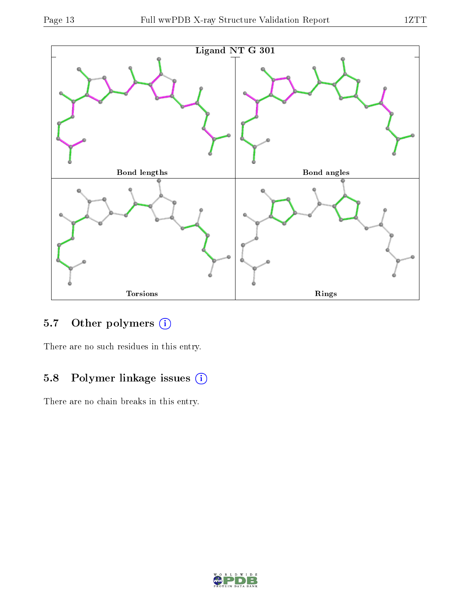

### 5.7 [O](https://www.wwpdb.org/validation/2017/XrayValidationReportHelp#nonstandard_residues_and_ligands)ther polymers (i)

There are no such residues in this entry.

### 5.8 Polymer linkage issues (i)

There are no chain breaks in this entry.

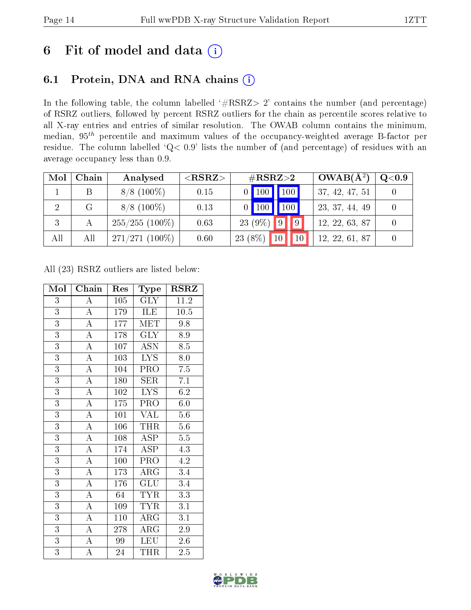## 6 Fit of model and data  $(i)$

### 6.1 Protein, DNA and RNA chains  $(i)$

In the following table, the column labelled  $#RSRZ> 2'$  contains the number (and percentage) of RSRZ outliers, followed by percent RSRZ outliers for the chain as percentile scores relative to all X-ray entries and entries of similar resolution. The OWAB column contains the minimum, median,  $95<sup>th</sup>$  percentile and maximum values of the occupancy-weighted average B-factor per residue. The column labelled ' $Q< 0.9$ ' lists the number of (and percentage) of residues with an average occupancy less than 0.9.

| Mol | Chain | Analysed         | ${ <\hspace{-1.5pt}{\mathrm{RSRZ}} \hspace{-1.5pt}>}$ | $\#\text{RSRZ}\text{>2}$          | $\rm_OWAB(A^{2})$ | $Q<$ 0.9 |
|-----|-------|------------------|-------------------------------------------------------|-----------------------------------|-------------------|----------|
|     |       | $8/8$ (100\%)    | 0.15                                                  | $\overline{100}$<br> 100          | 37, 42, 47, 51    |          |
|     | G.    | $8/8$ (100\%)    | 0.13                                                  | 100 <sub>1</sub>                  | 23, 37, 44, 49    |          |
| 3   |       | $255/255(100\%)$ | 0.63                                                  | $\vert\vert\,9\,\vert$<br>23 (9%) | 12, 22, 63, 87    |          |
| All | All   | $271/271(100\%)$ | 0.60                                                  | $23(8\%)$<br>10                   | 12, 22, 61, 87    |          |

All (23) RSRZ outliers are listed below:

| Mol            | Chain              | <b>Type</b><br>Res |                         | <b>RSRZ</b>      |  |
|----------------|--------------------|--------------------|-------------------------|------------------|--|
| 3              | A                  | 105                | <b>GLY</b>              | 11.2             |  |
| $\overline{3}$ | $\overline{A}$     | 179                | ILE                     | 10.5             |  |
| $\overline{3}$ | $\overline{\rm A}$ | 177                | <b>MET</b>              | 9.8              |  |
| $\overline{3}$ | $\overline{\rm A}$ | 178                | $\overline{\text{GLY}}$ | 8.9              |  |
| $\overline{3}$ | $\overline{\rm A}$ | 107                | <b>ASN</b>              | 8.5              |  |
| $\overline{3}$ | $\overline{A}$     | $\overline{103}$   | $\overline{\text{LYS}}$ | 8.0              |  |
| $\overline{3}$ | $\overline{\rm A}$ | 104                | $PR\overline{O}$        | 7.5              |  |
| $\overline{3}$ | $\overline{\rm A}$ | 180                | SER                     | 7.1              |  |
| $\overline{3}$ | $\overline{\rm A}$ | 102                | $\overline{\text{LYS}}$ | 6.2              |  |
| $\overline{3}$ | $\overline{\rm A}$ | 175                | PRO                     | 6.0              |  |
| $\overline{3}$ | $\overline{\rm A}$ | 101                | <b>VAL</b>              | $\overline{5.6}$ |  |
| $\overline{3}$ | $\boldsymbol{A}$   | 106                | THR                     | $5.6\,$          |  |
| $\overline{3}$ | $\overline{\rm A}$ | 108                | $\overline{\text{ASP}}$ | $5.5\,$          |  |
| $\overline{3}$ | $\overline{\rm A}$ | 174                | $\overline{\text{ASP}}$ | 4.3              |  |
| $\overline{3}$ | $\overline{\rm A}$ | 100                | PRO                     | $\overline{4.2}$ |  |
| $\overline{3}$ | $\overline{A}$     | 173                | $\rm{ARG}$              | $\overline{3.4}$ |  |
| $\overline{3}$ | $\overline{\rm A}$ | 176                | GLU                     | 3.4              |  |
| $\overline{3}$ | $\overline{A}$     | 64                 | <b>TYR</b>              | $\overline{3.3}$ |  |
| 3              | $\overline{\rm A}$ | 109                | <b>TYR</b>              | 3.1              |  |
| $\overline{3}$ | $\overline{\rm A}$ | 110                | $\rm{ARG}$              | 3.1              |  |
| $\overline{3}$ | $\overline{\rm A}$ | 278                | $\rm{ARG}$              | $2.9\,$          |  |
| $\overline{3}$ | $\overline{\rm A}$ | 99                 | <b>LEU</b>              | 2.6              |  |
| $\overline{3}$ | A                  | 24                 | THR                     | $\overline{2.5}$ |  |

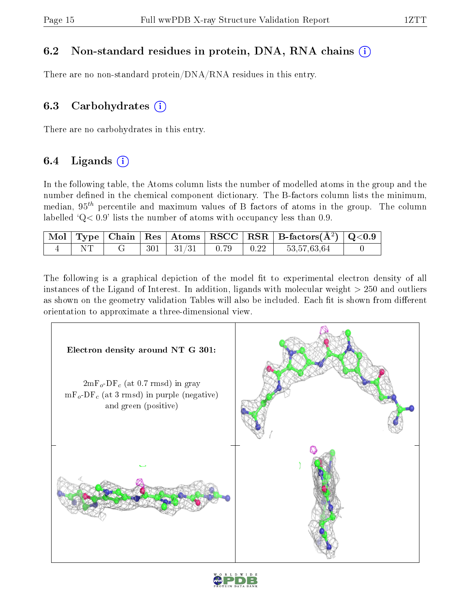### 6.2 Non-standard residues in protein, DNA, RNA chains (i)

There are no non-standard protein/DNA/RNA residues in this entry.

#### 6.3 Carbohydrates  $(i)$

There are no carbohydrates in this entry.

### 6.4 Ligands  $(i)$

In the following table, the Atoms column lists the number of modelled atoms in the group and the number defined in the chemical component dictionary. The B-factors column lists the minimum, median,  $95<sup>th</sup>$  percentile and maximum values of B factors of atoms in the group. The column labelled  $Q < 0.9$ ' lists the number of atoms with occupancy less than 0.9.

|  |  |                            |  | $\begin{array}{ c c c c c }\hline \text{Mol} & \text{Type} & \text{Chain} & \text{Res} & \text{Atoms} & \text{RSCC} & \text{RSR} & \text{B-factors}(\AA^2) & \text{Q<0.9} \\\hline \end{array}$ |  |
|--|--|----------------------------|--|-------------------------------------------------------------------------------------------------------------------------------------------------------------------------------------------------|--|
|  |  | $301 \mid 31/31 \mid 0.79$ |  | 53,57,63,64                                                                                                                                                                                     |  |

The following is a graphical depiction of the model fit to experimental electron density of all instances of the Ligand of Interest. In addition, ligands with molecular weight  $> 250$  and outliers as shown on the geometry validation Tables will also be included. Each fit is shown from different orientation to approximate a three-dimensional view.